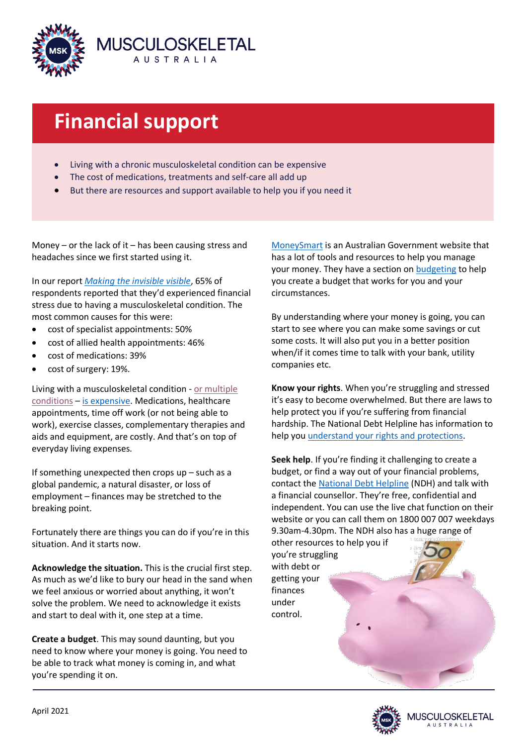

# **Financial support**

- Living with a chronic musculoskeletal condition can be expensive
- The cost of medications, treatments and self-care all add up
- But there are resources and support available to help you if you need it

Money – or the lack of it – has been causing stress and headaches since we first started using it.

In our report *[Making the invisible visible](https://www.msk.org.au/wp-content/uploads/2021/03/MSK3493-VX-Survey-report-V10-Hi-RES.pdf)*, 65% of respondents reported that they'd experienced financial stress due to having a musculoskeletal condition. The most common causes for this were:

- cost of specialist appointments: 50%
- cost of allied health appointments: 46%
- cost of medications: 39%
- cost of surgery: 19%.

Living with a musculoskeletal condition - [or multiple](https://www.msk.org.au/juggling-chronic-conditions/)  [conditions](https://www.msk.org.au/juggling-chronic-conditions/) – [is expensive.](https://www.msk.org.au/the-cost-of-chronic-conditions/) Medications, healthcare appointments, time off work (or not being able to work), exercise classes, complementary therapies and aids and equipment, are costly. And that's on top of everyday living expenses.

If something unexpected then crops up – such as a global pandemic, a natural disaster, or loss of employment – finances may be stretched to the breaking point.

Fortunately there are things you can do if you're in this situation. And it starts now.

**Acknowledge the situation.** This is the crucial first step. As much as we'd like to bury our head in the sand when we feel anxious or worried about anything, it won't solve the problem. We need to acknowledge it exists and start to deal with it, one step at a time.

**Create a budget**. This may sound daunting, but you need to know where your money is going. You need to be able to track what money is coming in, and what you're spending it on.

[MoneySmart](https://moneysmart.gov.au/) is an Australian Government website that has a lot of tools and resources to help you manage your money. They have a section on [budgeting](https://moneysmart.gov.au/budgeting) to help you create a budget that works for you and your circumstances.

By understanding where your money is going, you can start to see where you can make some savings or cut some costs. It will also put you in a better position when/if it comes time to talk with your bank, utility companies etc.

**Know your rights**. When you're struggling and stressed it's easy to become overwhelmed. But there are laws to help protect you if you're suffering from financial hardship. The National Debt Helpline has information to help you [understand your rights and protections.](https://ndh.org.au/debt-solutions/know-your-rights/)

**Seek help**. If you're finding it challenging to create a budget, or find a way out of your financial problems, contact the [National Debt Helpline](https://ndh.org.au/) (NDH) and talk with a financial counsellor. They're free, confidential and independent. You can use the live chat function on their website or you can call them on 1800 007 007 weekdays 9.30am-4.30pm. The NDH also has a huge range of

other resources to help you if you're struggling with debt or getting your finances under control.

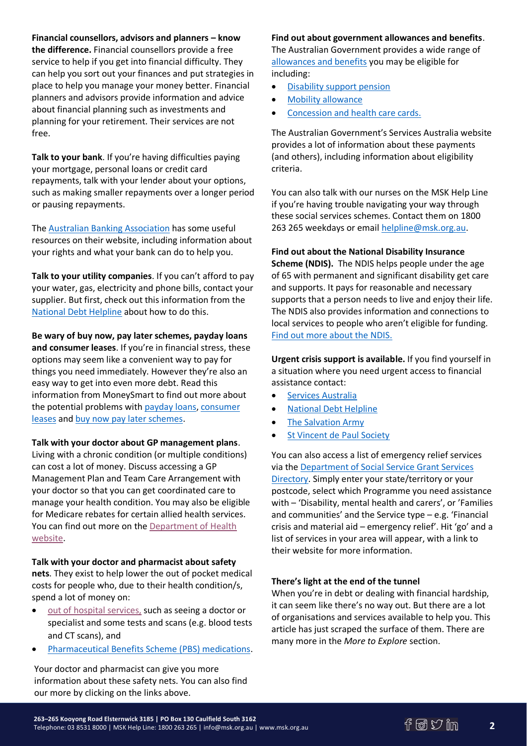**Financial counsellors, advisors and planners – know the difference.** Financial counsellors provide a free service to help if you get into financial difficulty. They can help you sort out your finances and put strategies in place to help you manage your money better. Financial planners and advisors provide information and advice about financial planning such as investments and planning for your retirement. Their services are not free.

**Talk to your bank**. If you're having difficulties paying your mortgage, personal loans or credit card repayments, talk with your lender about your options, such as making smaller repayments over a longer period or pausing repayments.

The [Australian Banking Association](https://www.ausbanking.org.au/for-customers/financial-difficulty/) has some useful resources on their website, including information about your rights and what your bank can do to help you.

**Talk to your utility companies**. If you can't afford to pay your water, gas, electricity and phone bills, contact your supplier. But first, check out this information from the [National Debt Helpline](https://ndh.org.au/Debt-problems/Electricity-gas-and-water-bills/) about how to do this.

**Be wary of buy now, pay later schemes, payday loans and consumer leases**. If you're in financial stress, these options may seem like a convenient way to pay for things you need immediately. However they're also an easy way to get into even more debt. Read this information from MoneySmart to find out more about the potential problems wit[h payday loans,](https://moneysmart.gov.au/loans/payday-loans) [consumer](https://moneysmart.gov.au/other-ways-to-borrow/consumer-leases)  [leases](https://moneysmart.gov.au/other-ways-to-borrow/consumer-leases) and [buy now pay later schemes.](https://moneysmart.gov.au/other-ways-to-borrow/buy-now-pay-later-services)

# **Talk with your doctor about GP management plans**.

Living with a chronic condition (or multiple conditions) can cost a lot of money. Discuss accessing a GP Management Plan and Team Care Arrangement with your doctor so that you can get coordinated care to manage your health condition. You may also be eligible for Medicare rebates for certain allied health services. You can find out more on the [Department of Health](https://www1.health.gov.au/internet/main/publishing.nsf/content/mbsprimarycare-chronicdisease-pdf-infosheet)  [website.](https://www1.health.gov.au/internet/main/publishing.nsf/content/mbsprimarycare-chronicdisease-pdf-infosheet)

**Talk with your doctor and pharmacist about safety nets**. They exist to help lower the out of pocket medical costs for people who, due to their health condition/s, spend a lot of money on:

- [out of hospital services,](https://www.servicesaustralia.gov.au/individuals/services/medicare/medicare-safety-nets) such as seeing a doctor or specialist and some tests and scans (e.g. blood tests and CT scans), and
- [Pharmaceutical Benefits Scheme \(PBS\) medications.](https://www.servicesaustralia.gov.au/individuals/services/medicare/pharmaceutical-benefits-scheme/when-you-spend-lot-pbs-medicines)

Your doctor and pharmacist can give you more information about these safety nets. You can also find our more by clicking on the links above.

### **Find out about government allowances and benefits**.

The Australian Government provides a wide range of [allowances and benefits](https://www.servicesaustralia.gov.au/organisations/about-us/corporate-publications-and-resources/guide-australian-government-payments) you may be eligible for including:

- [Disability support pension](https://www.servicesaustralia.gov.au/individuals/services/centrelink/disability-support-pension)
- [Mobility allowance](https://www.servicesaustralia.gov.au/individuals/services/centrelink/mobility-allowance)
- [Concession and health care cards.](https://www.servicesaustralia.gov.au/individuals/subjects/concession-and-health-care-cards)

The Australian Government's Services Australia website provides a lot of information about these payments (and others), including information about eligibility criteria.

You can also talk with our nurses on the MSK Help Line if you're having trouble navigating your way through these social services schemes. Contact them on 1800 263 265 weekdays or email [helpline@msk.org.au.](mailto:helpline@msk.org.au)

**Find out about the National Disability Insurance Scheme (NDIS).** The NDIS helps people under the age of 65 with permanent and significant disability get care and supports. It pays for reasonable and necessary supports that a person needs to live and enjoy their life. The NDIS also provides information and connections to local services to people who aren't eligible for funding. [Find out more about the NDIS.](https://www.ndis.gov.au/)

**Urgent crisis support is available.** If you find yourself in a situation where you need urgent access to financial assistance contact:

- **•** [Services Australia](https://www.servicesaustralia.gov.au/individuals/subjects/crisis-and-special-help)
- [National Debt Helpline](https://ndh.org.au/)
- [The Salvation Army](https://www.salvationarmy.org.au/need-help/financial-assistance/)
- [St Vincent de Paul Society](https://www.vinnies.org.au/findhelp)

You can also access a list of emergency relief services via th[e Department of Social Service Grant Services](https://serviceproviders.dss.gov.au/)  [Directory.](https://serviceproviders.dss.gov.au/) Simply enter your state/territory or your postcode, select which Programme you need assistance with – 'Disability, mental health and carers', or 'Families and communities' and the Service type – e.g. 'Financial crisis and material aid – emergency relief'. Hit 'go' and a list of services in your area will appear, with a link to their website for more information.

# **There's light at the end of the tunnel**

When you're in debt or dealing with financial hardship, it can seem like there's no way out. But there are a lot of organisations and services available to help you. This article has just scraped the surface of them. There are many more in the *More to Explore* section.

**2**